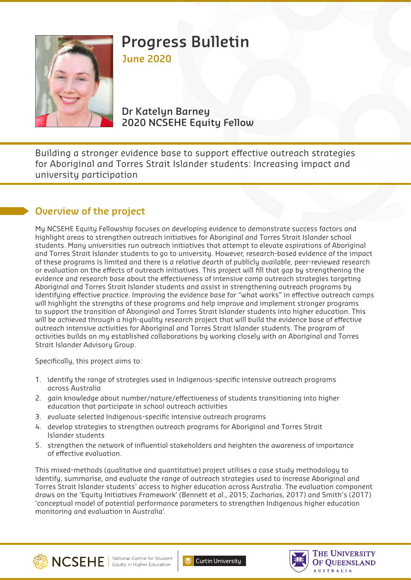

# **Progress Bulletin June 2020**

**Dr Katelyn Barney 2020 NCSEHE Equity Fellow**

Building a stronger evidence base to support effective outreach strategies for Aboriginal and Torres Strait Islander students: Increasing impact and university participation

## **Overview of the project**

My NCSEHE Equity Fellowship focuses on developing evidence to demonstrate success factors and highlight areas to strengthen outreach initiatives for Aboriginal and Torres Strait Islander school students. Many universities run outreach initiatives that attempt to elevate aspirations of Aboriginal and Torres Strait Islander students to go to university. However, research-based evidence of the impact of these programs is limited and there is a relative dearth of publicly available, peer-reviewed research or evaluation on the effects of outreach initiatives. This project will fill that gap by strengthening the evidence and research base about the effectiveness of intensive camp outreach strategies targeting Aboriginal and Torres Strait Islander students and assist in strengthening outreach programs by identifying effective practice. Improving the evidence base for "what works" in effective outreach camps will highlight the strengths of these programs and help improve and implement stronger programs to support the transition of Aboriginal and Torres Strait Islander students into higher education. This will be achieved through a high-quality research project that will build the evidence base of effective outreach intensive activities for Aboriginal and Torres Strait Islander students. The program of activities builds on my established collaborations by working closely with an Aboriginal and Torres Strait Islander Advisory Group.

Specifically, this project aims to:

- 1. identify the range of strategies used in Indigenous-specific intensive outreach programs across Australia
- 2. gain knowledge about number/nature/effectiveness of students transitioning into higher education that participate in school outreach activities
- 3. evaluate selected Indigenous-specific intensive outreach programs
- 4. develop strategies to strengthen outreach programs for Aboriginal and Torres Strait Islander students
- 5. strengthen the network of influential stakeholders and heighten the awareness of importance of effective evaluation.

This mixed-methods (qualitative and quantitative) project utilises a case study methodology to identify, summarise, and evaluate the range of outreach strategies used to increase Aboriginal and Torres Strait Islander students' access to higher education across Australia. The evaluation component draws on the 'Equity Initiatives Framework' (Bennett et al., 2015; Zacharias, 2017) and Smith's (2017) 'conceptual model of potential performance parameters to strengthen Indigenous higher education monitoring and evaluation in Australia'.